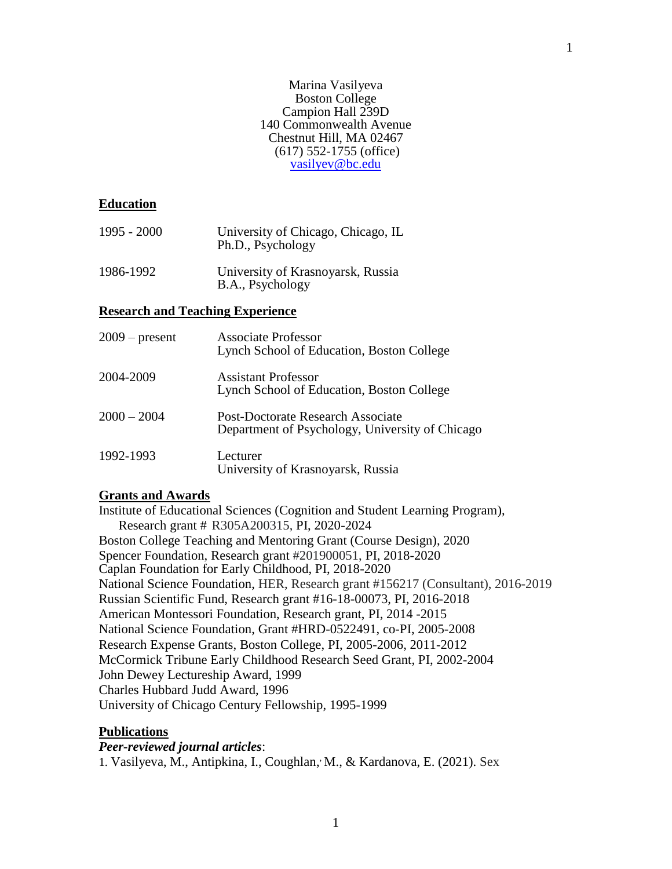#### Marina Vasilyeva Boston College Campion Hall 239D 140 Commonwealth Avenue Chestnut Hill, MA 02467 (617) 552-1755 (office) [vasilyev@bc.edu](mailto:vasilyev@bc.edu)

# **Education**

| 1995 - 2000 | University of Chicago, Chicago, IL<br>Ph.D., Psychology |
|-------------|---------------------------------------------------------|
| 1986-1992   | University of Krasnoyarsk, Russia<br>B.A., Psychology   |

# **Research and Teaching Experience**

| $2009$ – present | <b>Associate Professor</b><br>Lynch School of Education, Boston College              |
|------------------|--------------------------------------------------------------------------------------|
| 2004-2009        | Assistant Professor<br>Lynch School of Education, Boston College                     |
| $2000 - 2004$    | Post-Doctorate Research Associate<br>Department of Psychology, University of Chicago |
| 1992-1993        | Lecturer<br>University of Krasnoyarsk, Russia                                        |

#### **Grants and Awards**

Institute of Educational Sciences (Cognition and Student Learning Program), Research grant # R305A200315, PI, 2020-2024 Boston College Teaching and Mentoring Grant (Course Design), 2020 Spencer Foundation, Research grant #201900051, PI, 2018-2020 Caplan Foundation for Early Childhood, PI, 2018-2020 National Science Foundation, HER, Research grant #156217 (Consultant), 2016-2019 Russian Scientific Fund, Research grant #16-18-00073, PI, 2016-2018 American Montessori Foundation, Research grant, PI, 2014 -2015 National Science Foundation, Grant #HRD-0522491, co-PI, 2005-2008 Research Expense Grants, Boston College, PI, 2005-2006, 2011-2012 McCormick Tribune Early Childhood Research Seed Grant, PI, 2002-2004 John Dewey Lectureship Award, 1999 Charles Hubbard Judd Award, 1996 University of Chicago Century Fellowship, 1995-1999

# **Publications**

# *Peer-reviewed journal articles*:

1. Vasilyeva, M., Antipkina, I., Coughlan, M., & Kardanova, E. (2021). Sex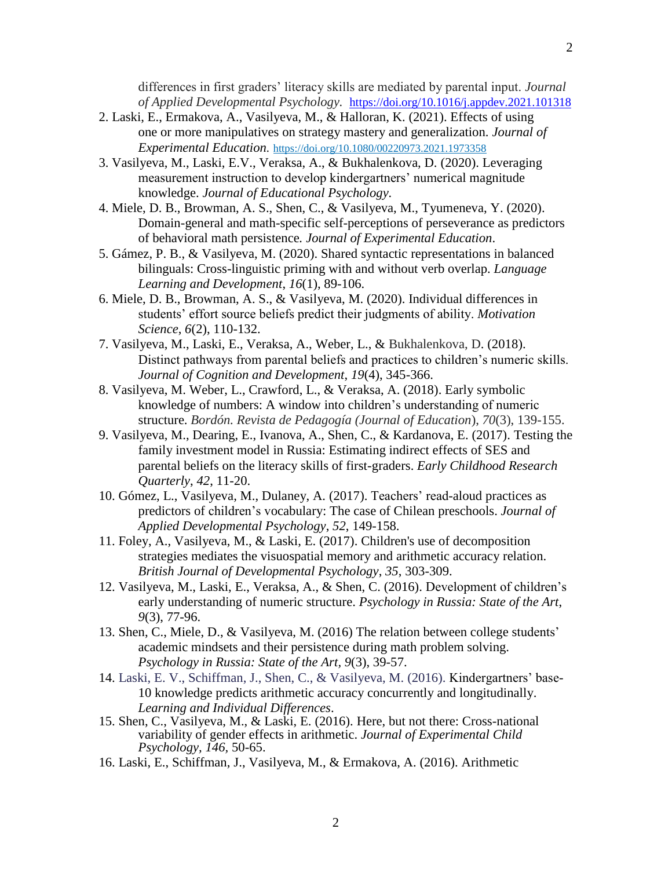differences in first graders' literacy skills are mediated by parental input. *Journal of Applied Developmental Psychology.* <https://doi.org/10.1016/j.appdev.2021.101318>

- 2. Laski, E., Ermakova, A., Vasilyeva, M., & Halloran, K. (2021). Effects of using one or more manipulatives on strategy mastery and generalization. *Journal of Experimental Education.* <https://doi.org/10.1080/00220973.2021.1973358>
- 3. Vasilyeva, M., Laski, E.V., Veraksa, A., & Bukhalenkova, D. (2020). Leveraging measurement instruction to develop kindergartners' numerical magnitude knowledge. *Journal of Educational Psychology.*
- 4. Miele, D. B., Browman, A. S., Shen, C., & Vasilyeva, M., Tyumeneva, Y. (2020). Domain-general and math-specific self-perceptions of perseverance as predictors of behavioral math persistence*. Journal of Experimental Education*.
- 5. Gámez, P. B., & Vasilyeva, M. (2020). Shared syntactic representations in balanced bilinguals: Cross-linguistic priming with and without verb overlap. *Language Learning and Development*, *16*(1), 89-106.
- 6. Miele, D. B., Browman, A. S., & Vasilyeva, M. (2020). Individual differences in students' effort source beliefs predict their judgments of ability. *Motivation Science*, *6*(2), 110-132.
- 7. Vasilyeva, M., Laski, E., Veraksa, A., Weber, L., & Bukhalenkova, D. (2018). Distinct pathways from parental beliefs and practices to children's numeric skills. *Journal of Cognition and Development*, *19*(4), 345-366.
- 8. Vasilyeva, M. Weber, L., Crawford, L., & Veraksa, A. (2018). Early symbolic knowledge of numbers: A window into children's understanding of numeric structure. *Bordón. Revista de Pedagogía (Journal of Education*), *70*(3), 139-155.
- 9. Vasilyeva, M., Dearing, E., Ivanova, A., Shen, C., & Kardanova, E. (2017). Testing the family investment model in Russia: Estimating indirect effects of SES and parental beliefs on the literacy skills of first-graders. *Early Childhood Research Quarterly*, *42*, 11-20.
- 10. Gómez, L., Vasilyeva, M., Dulaney, A. (2017). Teachers' read-aloud practices as predictors of children's vocabulary: The case of Chilean preschools. *Journal of Applied Developmental Psychology*, *52*, 149-158.
- 11. Foley, A., Vasilyeva, M., & Laski, E. (2017). Children's use of decomposition strategies mediates the visuospatial memory and arithmetic accuracy relation. *British Journal of Developmental Psychology*, *35*, 303-309.
- 12. Vasilyeva, M., Laski, E., Veraksa, A., & Shen, C. (2016). Development of children's early understanding of numeric structure. *Psychology in Russia: State of the Art*, *9*(3), 77-96.
- 13. Shen, C., Miele, D., & Vasilyeva, M. (2016) The relation between college students' academic mindsets and their persistence during math problem solving. *Psychology in Russia: State of the Art, 9*(3), 39-57.
- 14. Laski, E. V., Schiffman, J., Shen, C., & Vasilyeva, M. (2016). Kindergartners' base-10 knowledge predicts arithmetic accuracy concurrently and longitudinally. *Learning and Individual Differences*.
- 15. Shen, C., Vasilyeva, M., & Laski, E. (2016). Here, but not there: Cross-national variability of gender effects in arithmetic. *Journal of Experimental Child Psychology, 146,* 50-65.
- 16. Laski, E., Schiffman, J., Vasilyeva, M., & Ermakova, A. (2016). Arithmetic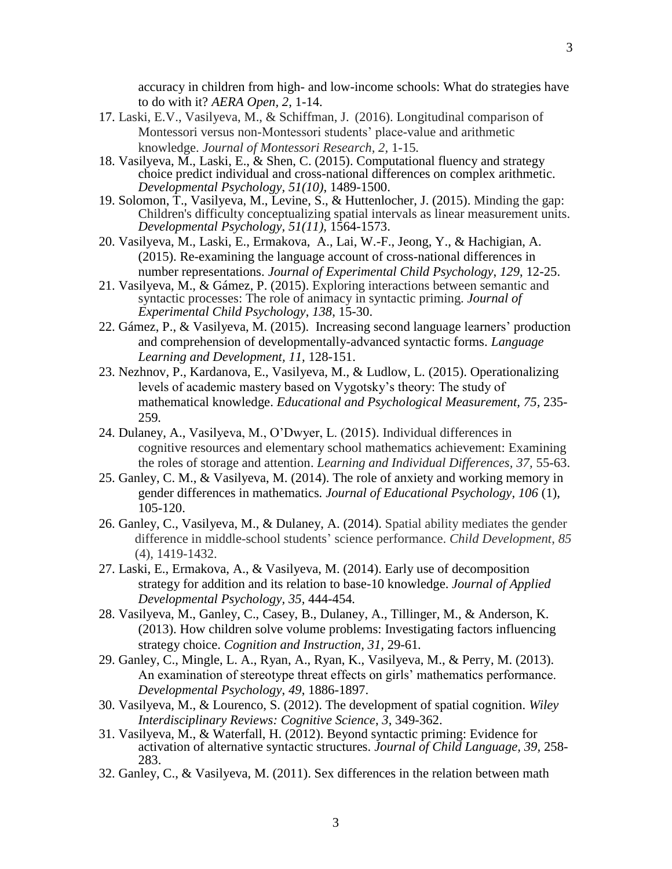accuracy in children from high- and low-income schools: What do strategies have to do with it? *AERA Open, 2,* 1-14.

- 17. Laski, E.V., Vasilyeva, M., & Schiffman, J. (2016). Longitudinal comparison of Montessori versus non-Montessori students' place-value and arithmetic knowledge. *Journal of Montessori Research, 2,* 1-15*.*
- 18. Vasilyeva, M., Laski, E., & Shen, C. (2015). Computational fluency and strategy choice predict individual and cross-national differences on complex arithmetic. *Developmental Psychology, 51(10)*, 1489-1500.
- 19. Solomon, T., Vasilyeva, M., Levine, S., & Huttenlocher, J. (2015). Minding the gap: Children's difficulty conceptualizing spatial intervals as linear measurement units. *Developmental Psychology, 51(11),* 1564-1573.
- 20. Vasilyeva, M., Laski, E., Ermakova, A., Lai, W.-F., Jeong, Y., & Hachigian, A. (2015). Re-examining the language account of cross-national differences in number representations. *Journal of Experimental Child Psychology*, *129*, 12-25.
- 21. Vasilyeva, M., & Gámez, P. (2015). Exploring interactions between semantic and syntactic processes: The role of animacy in syntactic priming. *Journal of Experimental Child Psychology*, *138*, 15-30.
- 22. Gámez, P., & Vasilyeva, M. (2015). Increasing second language learners' production and comprehension of developmentally-advanced syntactic forms. *Language Learning and Development, 11,* 128-151.
- 23. Nezhnov, P., Kardanova, E., Vasilyeva, M., & Ludlow, L. (2015). Operationalizing levels of academic mastery based on Vygotsky's theory: The study of mathematical knowledge. *Educational and Psychological Measurement, 75,* 235- 259*.*
- 24. Dulaney, A., Vasilyeva, M., O'Dwyer, L. (2015). Individual differences in cognitive resources and elementary school mathematics achievement: Examining the roles of storage and attention. *Learning and Individual Differences, 37,* 55-63.
- 25. Ganley, C. M., & Vasilyeva, M. (2014). The role of anxiety and working memory in gender differences in mathematics*. Journal of Educational Psychology, 106* (1), 105-120.
- 26. Ganley, C., Vasilyeva, M., & Dulaney, A. (2014). Spatial ability mediates the gender difference in middle-school students' science performance. *Child Development*, *85* (4), 1419-1432.
- 27. Laski, E., Ermakova, A., & Vasilyeva, M. (2014). Early use of decomposition strategy for addition and its relation to base-10 knowledge. *Journal of Applied Developmental Psychology, 35,* 444-454*.*
- 28. Vasilyeva, M., Ganley, C., Casey, B., Dulaney, A., Tillinger, M., & Anderson, K. (2013). How children solve volume problems: Investigating factors influencing strategy choice. *Cognition and Instruction, 31,* 29-61*.*
- 29. Ganley, C., Mingle, L. A., Ryan, A., Ryan, K., Vasilyeva, M., & Perry, M. (2013). An examination of stereotype threat effects on girls' mathematics performance. *Developmental Psychology*, *49*, 1886-1897.
- 30. Vasilyeva, M., & Lourenco, S. (2012). The development of spatial cognition. *Wiley Interdisciplinary Reviews: Cognitive Science*, *3*, 349-362.
- 31. Vasilyeva, M., & Waterfall, H. (2012). Beyond syntactic priming: Evidence for activation of alternative syntactic structures. *Journal of Child Language, 39,* 258- 283.
- 32. Ganley, C., & Vasilyeva, M. (2011). Sex differences in the relation between math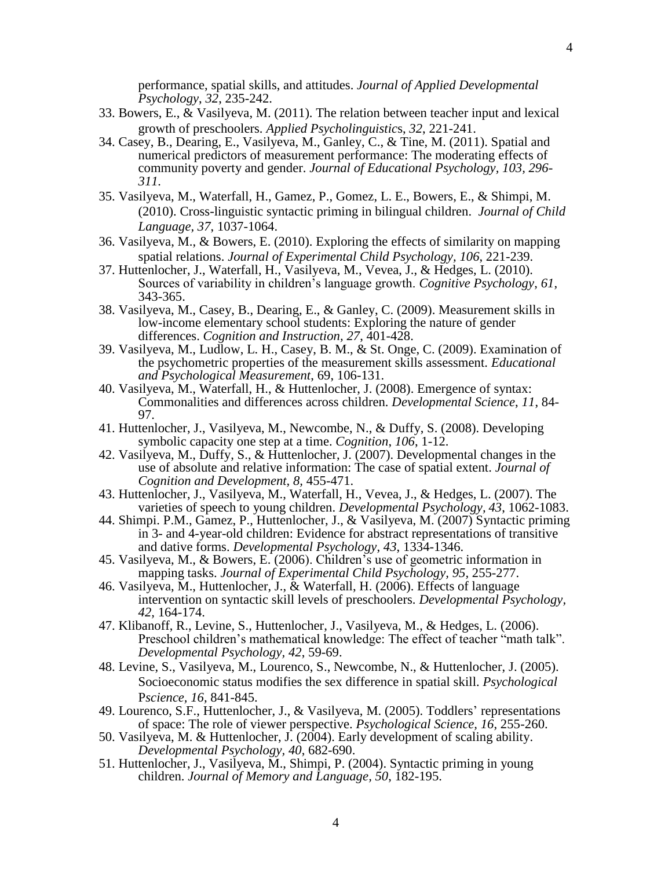performance, spatial skills, and attitudes. *Journal of Applied Developmental Psychology*, *32*, 235-242.

- 33. Bowers, E., & Vasilyeva, M. (2011). The relation between teacher input and lexical growth of preschoolers. *Applied Psycholinguistic*s, *32*, 221-241.
- 34. Casey, B., Dearing, E., Vasilyeva, M., Ganley, C., & Tine, M. (2011). Spatial and numerical predictors of measurement performance: The moderating effects of community poverty and gender. *Journal of Educational Psychology, 103, 296- 311.*
- 35. Vasilyeva, M., Waterfall, H., Gamez, P., Gomez, L. E., Bowers, E., & Shimpi, M. (2010). Cross-linguistic syntactic priming in bilingual children. *Journal of Child Language, 37*, 1037-1064.
- 36. Vasilyeva, M., & Bowers, E. (2010). Exploring the effects of similarity on mapping spatial relations. *Journal of Experimental Child Psychology, 106*, 221-239.
- 37. Huttenlocher, J., Waterfall, H., Vasilyeva, M., Vevea, J., & Hedges, L. (2010). Sources of variability in children's language growth. *Cognitive Psychology*, *61*, 343-365.
- 38. Vasilyeva, M., Casey, B., Dearing, E., & Ganley, C. (2009). Measurement skills in low-income elementary school students: Exploring the nature of gender differences. *Cognition and Instruction, 27*, 401-428.
- 39. Vasilyeva, M., Ludlow, L. H., Casey, B. M., & St. Onge, C. (2009). Examination of the psychometric properties of the measurement skills assessment. *Educational and Psychological Measurement*, 69, 106-131.
- 40. Vasilyeva, M., Waterfall, H., & Huttenlocher, J. (2008). Emergence of syntax: Commonalities and differences across children. *Developmental Science*, *11*, 84- 97.
- 41. Huttenlocher, J., Vasilyeva, M., Newcombe, N., & Duffy, S. (2008). Developing symbolic capacity one step at a time. *Cognition*, *106*, 1-12.
- 42. Vasilyeva, M., Duffy, S., & Huttenlocher, J. (2007). Developmental changes in the use of absolute and relative information: The case of spatial extent. *Journal of Cognition and Development, 8,* 455-471.
- 43. Huttenlocher, J., Vasilyeva, M., Waterfall, H., Vevea, J., & Hedges, L. (2007). The varieties of speech to young children. *Developmental Psychology, 43*, 1062-1083.
- 44. Shimpi. P.M., Gamez, P., Huttenlocher, J., & Vasilyeva, M. (2007) Syntactic priming in 3- and 4-year-old children: Evidence for abstract representations of transitive and dative forms. *Developmental Psychology*, *43*, 1334-1346.
- 45. Vasilyeva, M., & Bowers, E. (2006). Children's use of geometric information in mapping tasks. *Journal of Experimental Child Psychology, 95,* 255-277.
- 46. Vasilyeva, M., Huttenlocher, J., & Waterfall, H. (2006). Effects of language intervention on syntactic skill levels of preschoolers. *Developmental Psychology, 42,* 164-174.
- 47. Klibanoff, R., Levine, S., Huttenlocher, J., Vasilyeva, M., & Hedges, L. (2006). Preschool children's mathematical knowledge: The effect of teacher "math talk". *Developmental Psychology, 42*, 59-69.
- 48. Levine, S., Vasilyeva, M., Lourenco, S., Newcombe, N., & Huttenlocher, J. (2005). Socioeconomic status modifies the sex difference in spatial skill. *Psychological*  P*science, 16,* 841-845.
- 49. Lourenco, S.F., Huttenlocher, J., & Vasilyeva, M. (2005). Toddlers' representations of space: The role of viewer perspective. *Psychological Science, 16*, 255-260.
- 50. Vasilyeva, M. & Huttenlocher, J. (2004). Early development of scaling ability. *Developmental Psychology, 40*, 682-690.
- 51. Huttenlocher, J., Vasilyeva, M., Shimpi, P. (2004). Syntactic priming in young children. *Journal of Memory and Language, 50*, 182-195.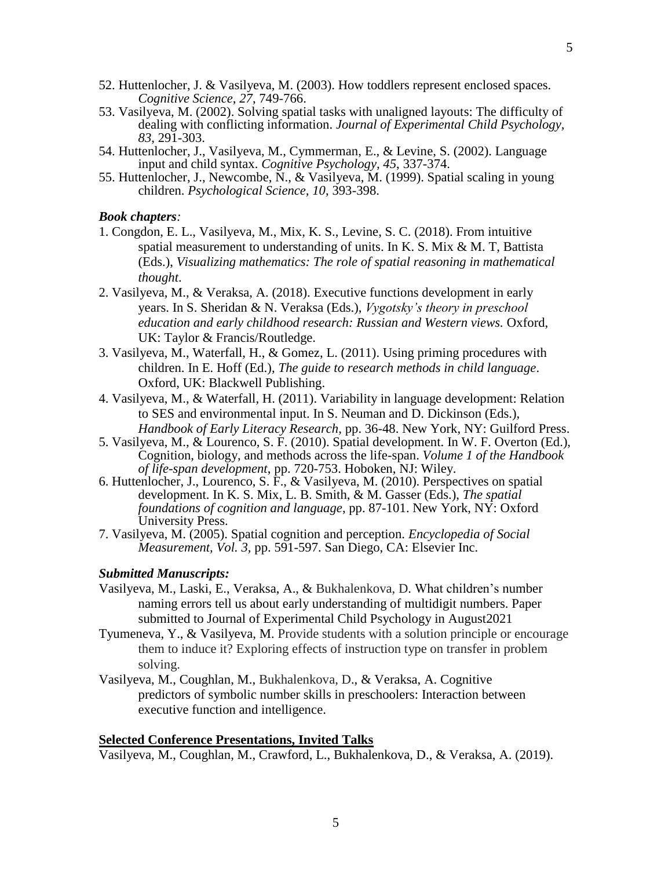- 52. Huttenlocher, J. & Vasilyeva, M. (2003). How toddlers represent enclosed spaces. *Cognitive Science*, *27*, 749-766.
- 53. Vasilyeva, M. (2002). Solving spatial tasks with unaligned layouts: The difficulty of dealing with conflicting information. *Journal of Experimental Child Psychology, 83*, 291-303.
- 54. Huttenlocher, J., Vasilyeva, M., Cymmerman, E., & Levine, S. (2002). Language input and child syntax. *Cognitive Psychology, 45*, 337-374.
- 55. Huttenlocher, J., Newcombe, N., & Vasilyeva, M. (1999). Spatial scaling in young children. *Psychological Science, 10*, 393-398.

#### *Book chapters:*

- 1. Congdon, E. L., Vasilyeva, M., Mix, K. S., Levine, S. C. (2018). From intuitive spatial measurement to understanding of units. In K. S. Mix  $\&$  M. T, Battista (Eds.), *Visualizing mathematics: The role of spatial reasoning in mathematical thought*.
- 2. Vasilyeva, M., & Veraksa, A. (2018). Executive functions development in early years. In S. Sheridan & N. Veraksa (Eds.), *Vygotsky's theory in preschool education and early childhood research: Russian and Western views.* Oxford, UK: Taylor & Francis/Routledge.
- 3. Vasilyeva, M., Waterfall, H., & Gomez, L. (2011). Using priming procedures with children. In E. Hoff (Ed.), *The guide to research methods in child language*. Oxford, UK: Blackwell Publishing.
- 4. Vasilyeva, M., & Waterfall, H. (2011). Variability in language development: Relation to SES and environmental input. In S. Neuman and D. Dickinson (Eds.), *Handbook of Early Literacy Research*, pp. 36-48. New York, NY: Guilford Press.
- 5. Vasilyeva, M., & Lourenco, S. F. (2010). Spatial development. In W. F. Overton (Ed.), Cognition, biology, and methods across the life-span. *Volume 1 of the Handbook of life-span development*, pp. 720-753. Hoboken, NJ: Wiley.
- 6. Huttenlocher, J., Lourenco, S. F., & Vasilyeva, M. (2010). Perspectives on spatial development. In K. S. Mix, L. B. Smith, & M. Gasser (Eds.), *The spatial foundations of cognition and language*, pp. 87-101. New York, NY: Oxford University Press.
- 7. Vasilyeva, M. (2005). Spatial cognition and perception. *Encyclopedia of Social Measurement, Vol. 3,* pp. 591-597. San Diego, CA: Elsevier Inc.

# *Submitted Manuscripts:*

- Vasilyeva, M., Laski, E., Veraksa, A., & Bukhalenkova, D. What children's number naming errors tell us about early understanding of multidigit numbers. Paper submitted to Journal of Experimental Child Psychology in August2021
- Tyumeneva, Y., & Vasilyeva, M. Provide students with a solution principle or encourage them to induce it? Exploring effects of instruction type on transfer in problem solving.
- Vasilyeva, M., Coughlan, M., Bukhalenkova, D., & Veraksa, A. Cognitive predictors of symbolic number skills in preschoolers: Interaction between executive function and intelligence.

# **Selected Conference Presentations, Invited Talks**

Vasilyeva, M., Coughlan, M., Crawford, L., Bukhalenkova, D., & Veraksa, A. (2019).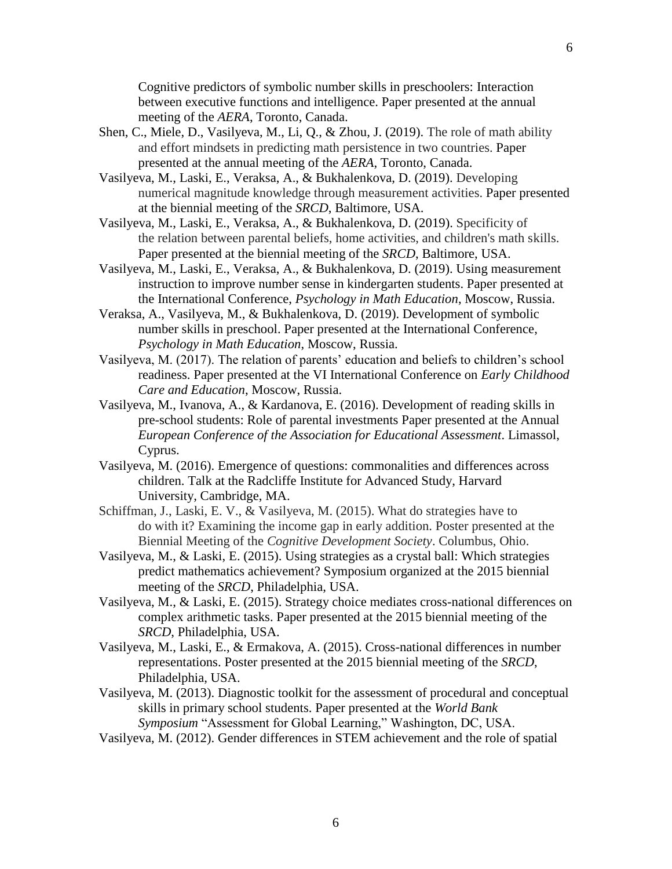Cognitive predictors of symbolic number skills in preschoolers: Interaction between executive functions and intelligence. Paper presented at the annual meeting of the *AERA*, Toronto, Canada.

- Shen, C., Miele, D., Vasilyeva, M., Li, Q., & Zhou, J. (2019). The role of math ability and effort mindsets in predicting math persistence in two countries. Paper presented at the annual meeting of the *AERA*, Toronto, Canada.
- Vasilyeva, M., Laski, E., Veraksa, A., & Bukhalenkova, D. (2019). Developing numerical magnitude knowledge through measurement activities. Paper presented at the biennial meeting of the *SRCD*, Baltimore, USA.
- Vasilyeva, M., Laski, E., Veraksa, A., & Bukhalenkova, D. (2019). Specificity of the relation between parental beliefs, home activities, and children's math skills. Paper presented at the biennial meeting of the *SRCD*, Baltimore, USA.
- Vasilyeva, M., Laski, E., Veraksa, A., & Bukhalenkova, D. (2019). Using measurement instruction to improve number sense in kindergarten students. Paper presented at the International Conference, *Psychology in Math Education*, Moscow, Russia.
- Veraksa, A., Vasilyeva, M., & Bukhalenkova, D. (2019). Development of symbolic number skills in preschool. Paper presented at the International Conference, *Psychology in Math Education*, Moscow, Russia.
- Vasilyeva, M. (2017). The relation of parents' education and beliefs to children's school readiness. Paper presented at the VI International Conference on *Early Childhood Care and Education*, Moscow, Russia.
- Vasilyeva, M., Ivanova, A., & Kardanova, E. (2016). Development of reading skills in pre-school students: Role of parental investments Paper presented at the Annual *European Conference of the Association for Educational Assessment*. Limassol, Cyprus.
- Vasilyeva, M. (2016). Emergence of questions: commonalities and differences across children. Talk at the Radcliffe Institute for Advanced Study, Harvard University, Cambridge, MA.
- Schiffman, J., Laski, E. V., & Vasilyeva, M. (2015). What do strategies have to do with it? Examining the income gap in early addition. Poster presented at the Biennial Meeting of the *Cognitive Development Society*. Columbus, Ohio.
- Vasilyeva, M., & Laski, E. (2015). Using strategies as a crystal ball: Which strategies predict mathematics achievement? Symposium organized at the 2015 biennial meeting of the *SRCD*, Philadelphia, USA.
- Vasilyeva, M., & Laski, E. (2015). Strategy choice mediates cross-national differences on complex arithmetic tasks. Paper presented at the 2015 biennial meeting of the *SRCD*, Philadelphia, USA.
- Vasilyeva, M., Laski, E., & Ermakova, A. (2015). Cross-national differences in number representations. Poster presented at the 2015 biennial meeting of the *SRCD*, Philadelphia, USA.
- Vasilyeva, M. (2013). Diagnostic toolkit for the assessment of procedural and conceptual skills in primary school students. Paper presented at the *World Bank Symposium* "Assessment for Global Learning," Washington, DC, USA.
- Vasilyeva, M. (2012). Gender differences in STEM achievement and the role of spatial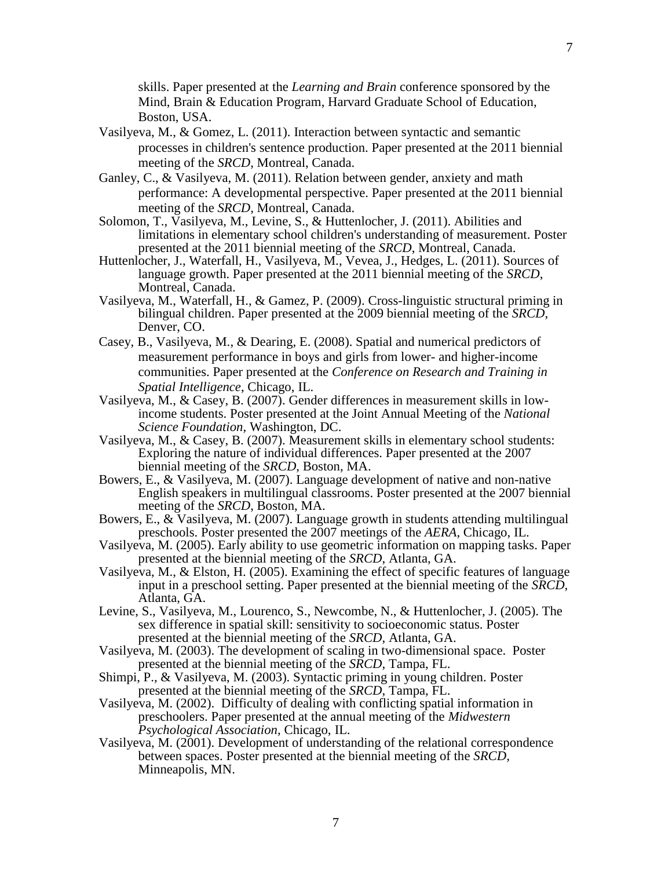skills. Paper presented at the *Learning and Brain* conference sponsored by the Mind, Brain & Education Program, Harvard Graduate School of Education, Boston, USA.

- Vasilyeva, M., & Gomez, L. (2011). Interaction between syntactic and semantic processes in children's sentence production. Paper presented at the 2011 biennial meeting of the *SRCD*, Montreal, Canada.
- Ganley, C., & Vasilyeva, M. (2011). Relation between gender, anxiety and math performance: A developmental perspective. Paper presented at the 2011 biennial meeting of the *SRCD*, Montreal, Canada.
- Solomon, T., Vasilyeva, M., Levine, S., & Huttenlocher, J. (2011). Abilities and limitations in elementary school children's understanding of measurement. Poster presented at the 2011 biennial meeting of the *SRCD*, Montreal, Canada.
- Huttenlocher, J., Waterfall, H., Vasilyeva, M., Vevea, J., Hedges, L. (2011). Sources of language growth. Paper presented at the 2011 biennial meeting of the *SRCD*, Montreal, Canada.
- Vasilyeva, M., Waterfall, H., & Gamez, P. (2009). Cross-linguistic structural priming in bilingual children. Paper presented at the 2009 biennial meeting of the *SRCD*, Denver, CO.
- Casey, B., Vasilyeva, M., & Dearing, E. (2008). Spatial and numerical predictors of measurement performance in boys and girls from lower- and higher-income communities. Paper presented at the *Conference on Research and Training in Spatial Intelligence*, Chicago, IL.
- Vasilyeva, M., & Casey, B. (2007). Gender differences in measurement skills in lowincome students. Poster presented at the Joint Annual Meeting of the *National Science Foundation*, Washington, DC.
- Vasilyeva, M., & Casey, B. (2007). Measurement skills in elementary school students: Exploring the nature of individual differences. Paper presented at the 2007 biennial meeting of the *SRCD*, Boston, MA.
- Bowers, E., & Vasilyeva, M. (2007). Language development of native and non-native English speakers in multilingual classrooms. Poster presented at the 2007 biennial meeting of the *SRCD*, Boston, MA.
- Bowers, E., & Vasilyeva, M. (2007). Language growth in students attending multilingual preschools. Poster presented the 2007 meetings of the *AERA*, Chicago, IL.
- Vasilyeva, M. (2005). Early ability to use geometric information on mapping tasks. Paper presented at the biennial meeting of the *SRCD*, Atlanta, GA.
- Vasilyeva, M., & Elston, H. (2005). Examining the effect of specific features of language input in a preschool setting. Paper presented at the biennial meeting of the *SRCD*, Atlanta, GA.
- Levine, S., Vasilyeva, M., Lourenco, S., Newcombe, N., & Huttenlocher, J. (2005). The sex difference in spatial skill: sensitivity to socioeconomic status. Poster presented at the biennial meeting of the *SRCD*, Atlanta, GA.
- Vasilyeva, M. (2003). The development of scaling in two-dimensional space. Poster presented at the biennial meeting of the *SRCD*, Tampa, FL.
- Shimpi, P., & Vasilyeva, M. (2003). Syntactic priming in young children. Poster presented at the biennial meeting of the *SRCD*, Tampa, FL.
- Vasilyeva, M. (2002). Difficulty of dealing with conflicting spatial information in preschoolers. Paper presented at the annual meeting of the *Midwestern Psychological Association*, Chicago, IL.
- Vasilyeva, M. (2001). Development of understanding of the relational correspondence between spaces. Poster presented at the biennial meeting of the *SRCD,*  Minneapolis, MN.